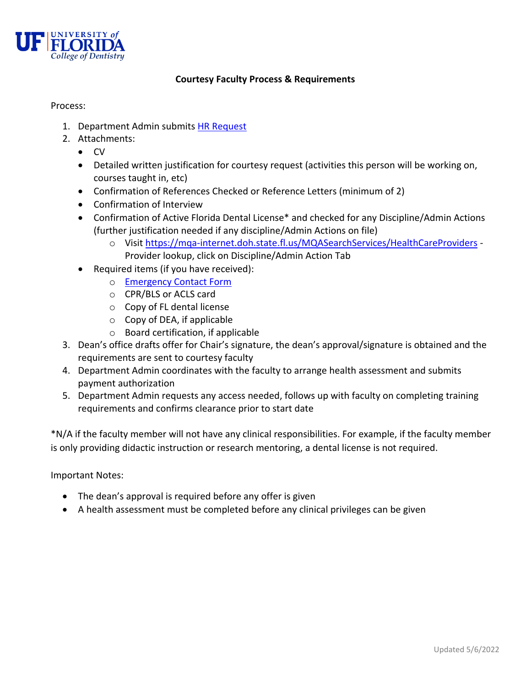

## **Courtesy Faculty Process & Requirements**

## Process:

- 1. Department Admin submits [HR Request](https://dental.ufl.edu/about/human-resources/88767-2/)
- 2. Attachments:
	- $\bullet$  CV
	- Detailed written justification for courtesy request (activities this person will be working on, courses taught in, etc)
	- Confirmation of References Checked or Reference Letters (minimum of 2)
	- Confirmation of Interview
	- Confirmation of Active Florida Dental License\* and checked for any Discipline/Admin Actions (further justification needed if any discipline/Admin Actions on file)
		- o Visi[t https://mqa-internet.doh.state.fl.us/MQASearchServices/HealthCareProviders](https://mqa-internet.doh.state.fl.us/MQASearchServices/HealthCareProviders) Provider lookup, click on Discipline/Admin Action Tab
	- Required items (if you have received):
		- o [Emergency Contact Form](https://hr.ufl.edu/wp-content/uploads/2018/03/emergency.pdf)
		- o CPR/BLS or ACLS card
		- o Copy of FL dental license
		- o Copy of DEA, if applicable
		- o Board certification, if applicable
- 3. Dean's office drafts offer for Chair's signature, the dean's approval/signature is obtained and the requirements are sent to courtesy faculty
- 4. Department Admin coordinates with the faculty to arrange health assessment and submits payment authorization
- 5. Department Admin requests any access needed, follows up with faculty on completing training requirements and confirms clearance prior to start date

\*N/A if the faculty member will not have any clinical responsibilities. For example, if the faculty member is only providing didactic instruction or research mentoring, a dental license is not required.

Important Notes:

- The dean's approval is required before any offer is given
- A health assessment must be completed before any clinical privileges can be given